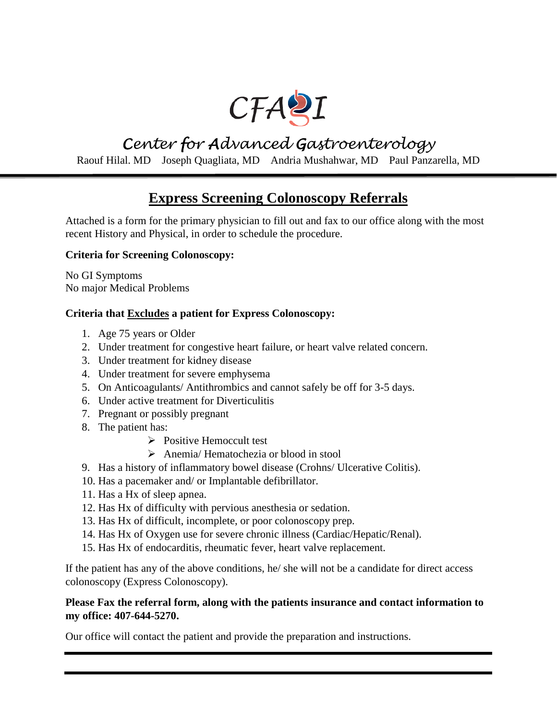

# *Center for Advanced Gastroenterology*

Raouf Hilal. MD Joseph Quagliata, MD Andria Mushahwar, MD Paul Panzarella, MD

# **Express Screening Colonoscopy Referrals**

Attached is a form for the primary physician to fill out and fax to our office along with the most recent History and Physical, in order to schedule the procedure.

### **Criteria for Screening Colonoscopy:**

No GI Symptoms No major Medical Problems

### **Criteria that Excludes a patient for Express Colonoscopy:**

- 1. Age 75 years or Older
- 2. Under treatment for congestive heart failure, or heart valve related concern.
- 3. Under treatment for kidney disease
- 4. Under treatment for severe emphysema
- 5. On Anticoagulants/ Antithrombics and cannot safely be off for 3-5 days.
- 6. Under active treatment for Diverticulitis
- 7. Pregnant or possibly pregnant
- 8. The patient has:
	- $\triangleright$  Positive Hemoccult test
	- Anemia/ Hematochezia or blood in stool
- 9. Has a history of inflammatory bowel disease (Crohns/ Ulcerative Colitis).
- 10. Has a pacemaker and/ or Implantable defibrillator.
- 11. Has a Hx of sleep apnea.
- 12. Has Hx of difficulty with pervious anesthesia or sedation.
- 13. Has Hx of difficult, incomplete, or poor colonoscopy prep.
- 14. Has Hx of Oxygen use for severe chronic illness (Cardiac/Hepatic/Renal).
- 15. Has Hx of endocarditis, rheumatic fever, heart valve replacement.

If the patient has any of the above conditions, he/ she will not be a candidate for direct access colonoscopy (Express Colonoscopy).

### **Please Fax the referral form, along with the patients insurance and contact information to my office: 407-644-5270.**

Our office will contact the patient and provide the preparation and instructions.